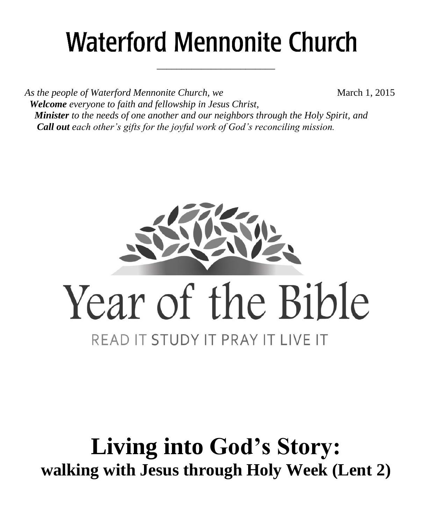# **Waterford Mennonite Church**

\_\_\_\_\_\_\_\_\_\_\_\_\_\_\_\_\_\_\_\_\_\_\_\_

*As the people of Waterford Mennonite Church, we* **March 1, 2015**  *Welcome everyone to faith and fellowship in Jesus Christ, Minister to the needs of one another and our neighbors through the Holy Spirit, and Call out each other's gifts for the joyful work of God's reconciling mission.*



## **Living into God's Story: walking with Jesus through Holy Week (Lent 2)**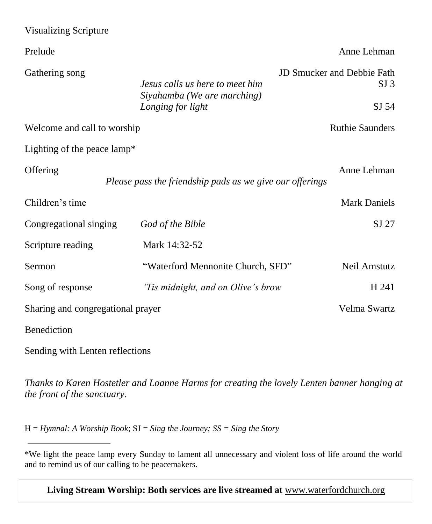| <b>Visualizing Scripture</b>      |                                                                                     |                                                               |  |
|-----------------------------------|-------------------------------------------------------------------------------------|---------------------------------------------------------------|--|
| Prelude                           |                                                                                     | Anne Lehman                                                   |  |
| Gathering song                    | Jesus calls us here to meet him<br>Siyahamba (We are marching)<br>Longing for light | <b>JD Smucker and Debbie Fath</b><br>SI <sub>3</sub><br>SJ 54 |  |
| Welcome and call to worship       |                                                                                     | <b>Ruthie Saunders</b>                                        |  |
| Lighting of the peace lamp*       |                                                                                     |                                                               |  |
| Offering                          | Please pass the friendship pads as we give our offerings                            | Anne Lehman                                                   |  |
| Children's time                   |                                                                                     | <b>Mark Daniels</b>                                           |  |
| Congregational singing            | God of the Bible                                                                    | SJ 27                                                         |  |
| Scripture reading                 | Mark 14:32-52                                                                       |                                                               |  |
| Sermon                            | "Waterford Mennonite Church, SFD"                                                   | Neil Amstutz                                                  |  |
| Song of response                  | Tis midnight, and on Olive's brow                                                   | H 241                                                         |  |
| Sharing and congregational prayer |                                                                                     | Velma Swartz                                                  |  |
| Benediction                       |                                                                                     |                                                               |  |

Sending with Lenten reflections

*Thanks to Karen Hostetler and Loanne Harms for creating the lovely Lenten banner hanging at the front of the sanctuary.*

H = *Hymnal: A Worship Book*; SJ = *Sing the Journey; SS = Sing the Story*

**Living Stream Worship: Both services are live streamed at** [www.waterfordchurch.org](http://www.waterfordchurch.org/)

<sup>\*</sup>We light the peace lamp every Sunday to lament all unnecessary and violent loss of life around the world and to remind us of our calling to be peacemakers.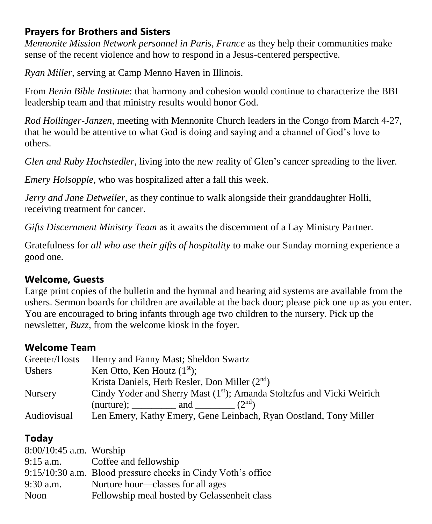### **Prayers for Brothers and Sisters**

*Mennonite Mission Network personnel in Paris, France* as they help their communities make sense of the recent violence and how to respond in a Jesus-centered perspective.

*Ryan Miller*, serving at Camp Menno Haven in Illinois.

From *Benin Bible Institute*: that harmony and cohesion would continue to characterize the BBI leadership team and that ministry results would honor God.

*Rod Hollinger-Janzen*, meeting with Mennonite Church leaders in the Congo from March 4-27, that he would be attentive to what God is doing and saying and a channel of God's love to others.

*Glen and Ruby Hochstedler*, living into the new reality of Glen's cancer spreading to the liver.

*Emery Holsopple*, who was hospitalized after a fall this week.

*Jerry and Jane Detweiler*, as they continue to walk alongside their granddaughter Holli, receiving treatment for cancer.

*Gifts Discernment Ministry Team* as it awaits the discernment of a Lay Ministry Partner.

Gratefulness for *all who use their gifts of hospitality* to make our Sunday morning experience a good one.

#### **Welcome, Guests**

Large print copies of the bulletin and the hymnal and hearing aid systems are available from the ushers. Sermon boards for children are available at the back door; please pick one up as you enter. You are encouraged to bring infants through age two children to the nursery. Pick up the newsletter, *Buzz,* from the welcome kiosk in the foyer.

#### **Welcome Team**

| Greeter/Hosts  | Henry and Fanny Mast; Sheldon Swartz                                               |
|----------------|------------------------------------------------------------------------------------|
| <b>Ushers</b>  | Ken Otto, Ken Houtz $(1st)$ ;                                                      |
|                | Krista Daniels, Herb Resler, Don Miller $(2nd)$                                    |
| <b>Nursery</b> | Cindy Yoder and Sherry Mast (1 <sup>st</sup> ); Amanda Stoltzfus and Vicki Weirich |
|                | (nurture); $\qquad \qquad$ and $(2^{nd})$                                          |
| Audiovisual    | Len Emery, Kathy Emery, Gene Leinbach, Ryan Oostland, Tony Miller                  |

#### **Today**

| $8:00/10:45$ a.m. Worship |                                                              |
|---------------------------|--------------------------------------------------------------|
|                           | 9:15 a.m. Coffee and fellowship                              |
|                           | 9:15/10:30 a.m. Blood pressure checks in Cindy Voth's office |
| 9:30 a.m.                 | Nurture hour—classes for all ages                            |
| Noon                      | Fellowship meal hosted by Gelassenheit class                 |